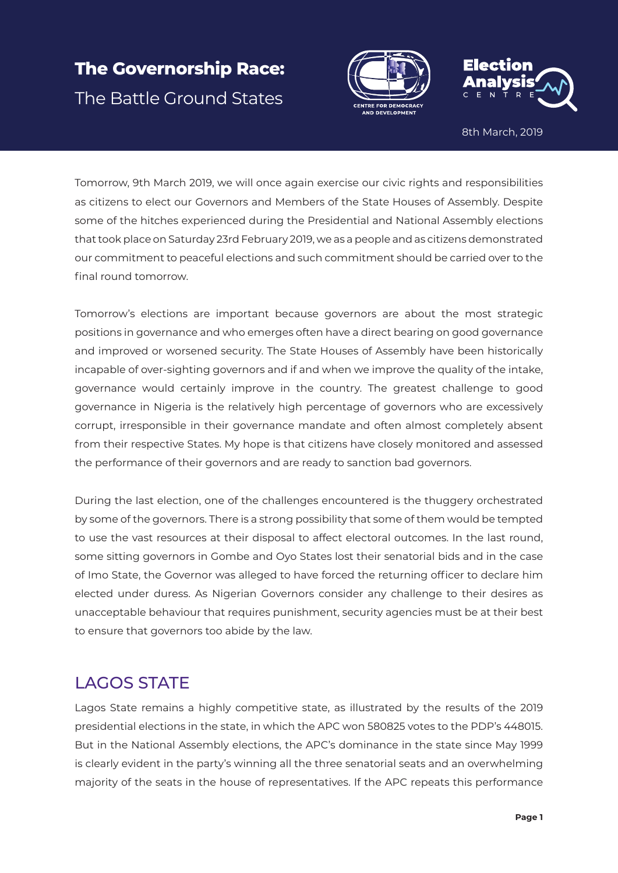# **The Governorship Race:**  The Battle Ground States





8th March, 2019

Tomorrow, 9th March 2019, we will once again exercise our civic rights and responsibilities as citizens to elect our Governors and Members of the State Houses of Assembly. Despite some of the hitches experienced during the Presidential and National Assembly elections that took place on Saturday 23rd February 2019, we as a people and as citizens demonstrated our commitment to peaceful elections and such commitment should be carried over to the final round tomorrow.

Tomorrow's elections are important because governors are about the most strategic positions in governance and who emerges often have a direct bearing on good governance and improved or worsened security. The State Houses of Assembly have been historically incapable of over-sighting governors and if and when we improve the quality of the intake, governance would certainly improve in the country. The greatest challenge to good governance in Nigeria is the relatively high percentage of governors who are excessively corrupt, irresponsible in their governance mandate and often almost completely absent from their respective States. My hope is that citizens have closely monitored and assessed the performance of their governors and are ready to sanction bad governors.

During the last election, one of the challenges encountered is the thuggery orchestrated by some of the governors. There is a strong possibility that some of them would be tempted to use the vast resources at their disposal to affect electoral outcomes. In the last round, some sitting governors in Gombe and Oyo States lost their senatorial bids and in the case of Imo State, the Governor was alleged to have forced the returning officer to declare him elected under duress. As Nigerian Governors consider any challenge to their desires as unacceptable behaviour that requires punishment, security agencies must be at their best to ensure that governors too abide by the law.

### LAGOS STATE

Lagos State remains a highly competitive state, as illustrated by the results of the 2019 presidential elections in the state, in which the APC won 580825 votes to the PDP's 448015. But in the National Assembly elections, the APC's dominance in the state since May 1999 is clearly evident in the party's winning all the three senatorial seats and an overwhelming majority of the seats in the house of representatives. If the APC repeats this performance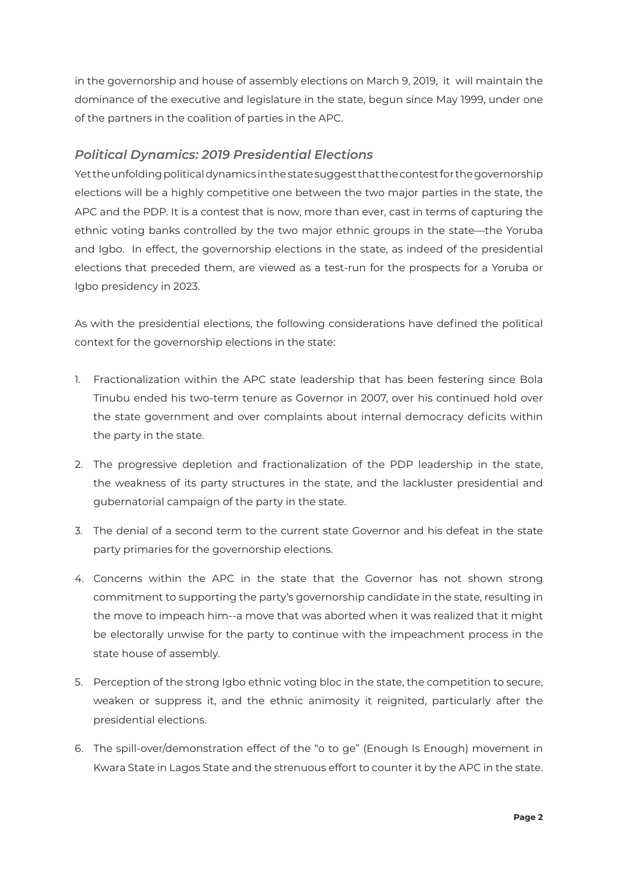in the governorship and house of assembly elections on March 9, 2019, it will maintain the dominance of the executive and legislature in the state, begun since May 1999, under one of the partners in the coalition of parties in the APC.

#### *Political Dynamics: 2019 Presidential Elections*

Yet the unfolding political dynamics in the state suggest that the contest for the governorship elections will be a highly competitive one between the two major parties in the state, the APC and the PDP. It is a contest that is now, more than ever, cast in terms of capturing the ethnic voting banks controlled by the two major ethnic groups in the state—the Yoruba and Igbo. In effect, the governorship elections in the state, as indeed of the presidential elections that preceded them, are viewed as a test-run for the prospects for a Yoruba or Igbo presidency in 2023.

As with the presidential elections, the following considerations have defined the political context for the governorship elections in the state:

- 1. Fractionalization within the APC state leadership that has been festering since Bola Tinubu ended his two-term tenure as Governor in 2007, over his continued hold over the state government and over complaints about internal democracy deficits within the party in the state.
- 2. The progressive depletion and fractionalization of the PDP leadership in the state, the weakness of its party structures in the state, and the lackluster presidential and gubernatorial campaign of the party in the state.
- 3. The denial of a second term to the current state Governor and his defeat in the state party primaries for the governorship elections.
- 4. Concerns within the APC in the state that the Governor has not shown strong commitment to supporting the party's governorship candidate in the state, resulting in the move to impeach him--a move that was aborted when it was realized that it might be electorally unwise for the party to continue with the impeachment process in the state house of assembly.
- 5. Perception of the strong Igbo ethnic voting bloc in the state, the competition to secure, weaken or suppress it, and the ethnic animosity it reignited, particularly after the presidential elections.
- 6. The spill-over/demonstration effect of the "o to ge" (Enough Is Enough) movement in Kwara State in Lagos State and the strenuous effort to counter it by the APC in the state.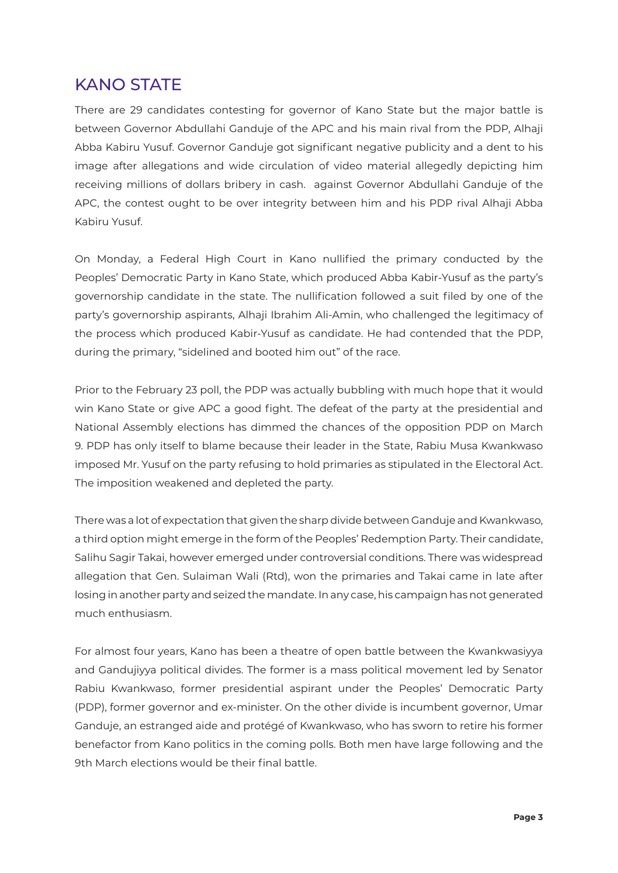### KANO STATE

There are 29 candidates contesting for governor of Kano State but the major battle is between Governor Abdullahi Ganduje of the APC and his main rival from the PDP, Alhaji Abba Kabiru Yusuf. Governor Ganduje got significant negative publicity and a dent to his image after allegations and wide circulation of video material allegedly depicting him receiving millions of dollars bribery in cash. against Governor Abdullahi Ganduje of the APC, the contest ought to be over integrity between him and his PDP rival Alhaji Abba Kabiru Yusuf.

On Monday, a Federal High Court in Kano nullified the primary conducted by the Peoples' Democratic Party in Kano State, which produced Abba Kabir-Yusuf as the party's governorship candidate in the state. The nullification followed a suit filed by one of the party's governorship aspirants, Alhaji Ibrahim Ali-Amin, who challenged the legitimacy of the process which produced Kabir-Yusuf as candidate. He had contended that the PDP, during the primary, "sidelined and booted him out" of the race.

Prior to the February 23 poll, the PDP was actually bubbling with much hope that it would win Kano State or give APC a good fight. The defeat of the party at the presidential and National Assembly elections has dimmed the chances of the opposition PDP on March 9. PDP has only itself to blame because their leader in the State, Rabiu Musa Kwankwaso imposed Mr. Yusuf on the party refusing to hold primaries as stipulated in the Electoral Act. The imposition weakened and depleted the party.

There was a lot of expectation that given the sharp divide between Ganduje and Kwankwaso, a third option might emerge in the form of the Peoples' Redemption Party. Their candidate, Salihu Sagir Takai, however emerged under controversial conditions. There was widespread allegation that Gen. Sulaiman Wali (Rtd), won the primaries and Takai came in late after losing in another party and seized the mandate. In any case, his campaign has not generated much enthusiasm.

For almost four years, Kano has been a theatre of open battle between the Kwankwasiyya and Gandujiyya political divides. The former is a mass political movement led by Senator Rabiu Kwankwaso, former presidential aspirant under the Peoples' Democratic Party (PDP), former governor and ex-minister. On the other divide is incumbent governor, Umar Ganduje, an estranged aide and protégé of Kwankwaso, who has sworn to retire his former benefactor from Kano politics in the coming polls. Both men have large following and the 9th March elections would be their final battle.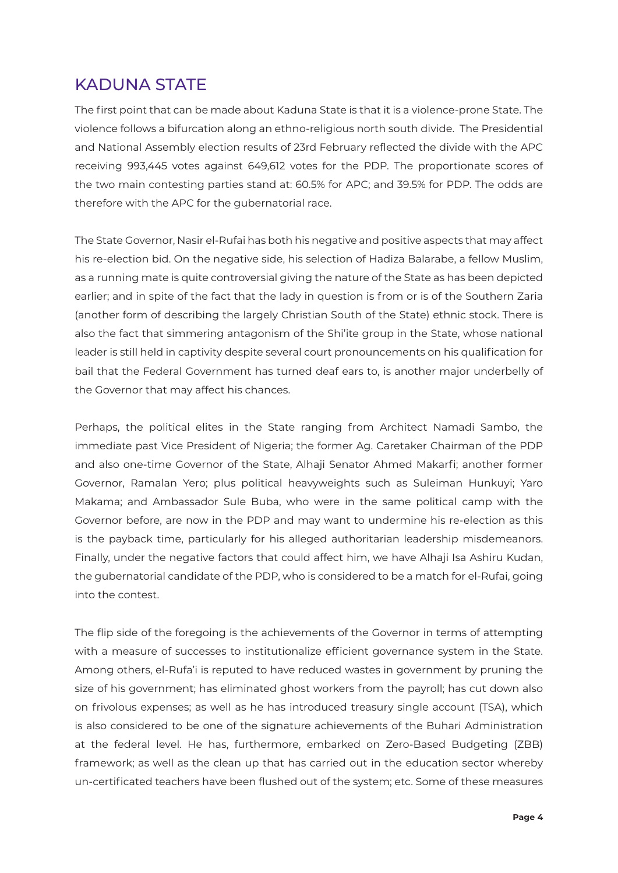## KADUNA STATE

The first point that can be made about Kaduna State is that it is a violence-prone State. The violence follows a bifurcation along an ethno-religious north south divide. The Presidential and National Assembly election results of 23rd February reflected the divide with the APC receiving 993,445 votes against 649,612 votes for the PDP. The proportionate scores of the two main contesting parties stand at: 60.5% for APC; and 39.5% for PDP. The odds are therefore with the APC for the gubernatorial race.

The State Governor, Nasir el-Rufai has both his negative and positive aspects that may affect his re-election bid. On the negative side, his selection of Hadiza Balarabe, a fellow Muslim, as a running mate is quite controversial giving the nature of the State as has been depicted earlier; and in spite of the fact that the lady in question is from or is of the Southern Zaria (another form of describing the largely Christian South of the State) ethnic stock. There is also the fact that simmering antagonism of the Shi'ite group in the State, whose national leader is still held in captivity despite several court pronouncements on his qualification for bail that the Federal Government has turned deaf ears to, is another major underbelly of the Governor that may affect his chances.

Perhaps, the political elites in the State ranging from Architect Namadi Sambo, the immediate past Vice President of Nigeria; the former Ag. Caretaker Chairman of the PDP and also one-time Governor of the State, Alhaji Senator Ahmed Makarfi; another former Governor, Ramalan Yero; plus political heavyweights such as Suleiman Hunkuyi; Yaro Makama; and Ambassador Sule Buba, who were in the same political camp with the Governor before, are now in the PDP and may want to undermine his re-election as this is the payback time, particularly for his alleged authoritarian leadership misdemeanors. Finally, under the negative factors that could affect him, we have Alhaji Isa Ashiru Kudan, the gubernatorial candidate of the PDP, who is considered to be a match for el-Rufai, going into the contest.

The flip side of the foregoing is the achievements of the Governor in terms of attempting with a measure of successes to institutionalize efficient governance system in the State. Among others, el-Rufa'i is reputed to have reduced wastes in government by pruning the size of his government; has eliminated ghost workers from the payroll; has cut down also on frivolous expenses; as well as he has introduced treasury single account (TSA), which is also considered to be one of the signature achievements of the Buhari Administration at the federal level. He has, furthermore, embarked on Zero-Based Budgeting (ZBB) framework; as well as the clean up that has carried out in the education sector whereby un-certificated teachers have been flushed out of the system; etc. Some of these measures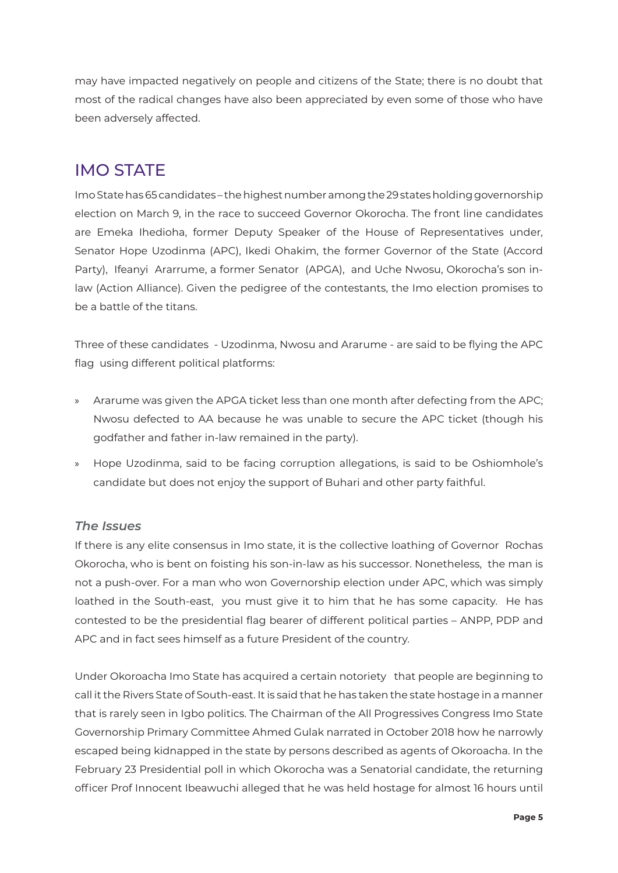may have impacted negatively on people and citizens of the State; there is no doubt that most of the radical changes have also been appreciated by even some of those who have been adversely affected.

# IMO STATE

Imo State has 65 candidates – the highest number among the 29 states holding governorship election on March 9, in the race to succeed Governor Okorocha. The front line candidates are Emeka Ihedioha, former Deputy Speaker of the House of Representatives under, Senator Hope Uzodinma (APC), Ikedi Ohakim, the former Governor of the State (Accord Party), Ifeanyi Ararrume, a former Senator (APGA), and Uche Nwosu, Okorocha's son inlaw (Action Alliance). Given the pedigree of the contestants, the Imo election promises to be a battle of the titans.

Three of these candidates - Uzodinma, Nwosu and Ararume - are said to be flying the APC flag using different political platforms:

- » Ararume was given the APGA ticket less than one month after defecting from the APC; Nwosu defected to AA because he was unable to secure the APC ticket (though his godfather and father in-law remained in the party).
- » Hope Uzodinma, said to be facing corruption allegations, is said to be Oshiomhole's candidate but does not enjoy the support of Buhari and other party faithful.

#### *The Issues*

If there is any elite consensus in Imo state, it is the collective loathing of Governor Rochas Okorocha, who is bent on foisting his son-in-law as his successor. Nonetheless, the man is not a push-over. For a man who won Governorship election under APC, which was simply loathed in the South-east, you must give it to him that he has some capacity. He has contested to be the presidential flag bearer of different political parties – ANPP, PDP and APC and in fact sees himself as a future President of the country.

Under Okoroacha Imo State has acquired a certain notoriety that people are beginning to call it the Rivers State of South-east. It is said that he has taken the state hostage in a manner that is rarely seen in Igbo politics. The Chairman of the All Progressives Congress Imo State Governorship Primary Committee Ahmed Gulak narrated in October 2018 how he narrowly escaped being kidnapped in the state by persons described as agents of Okoroacha. In the February 23 Presidential poll in which Okorocha was a Senatorial candidate, the returning officer Prof Innocent Ibeawuchi alleged that he was held hostage for almost 16 hours until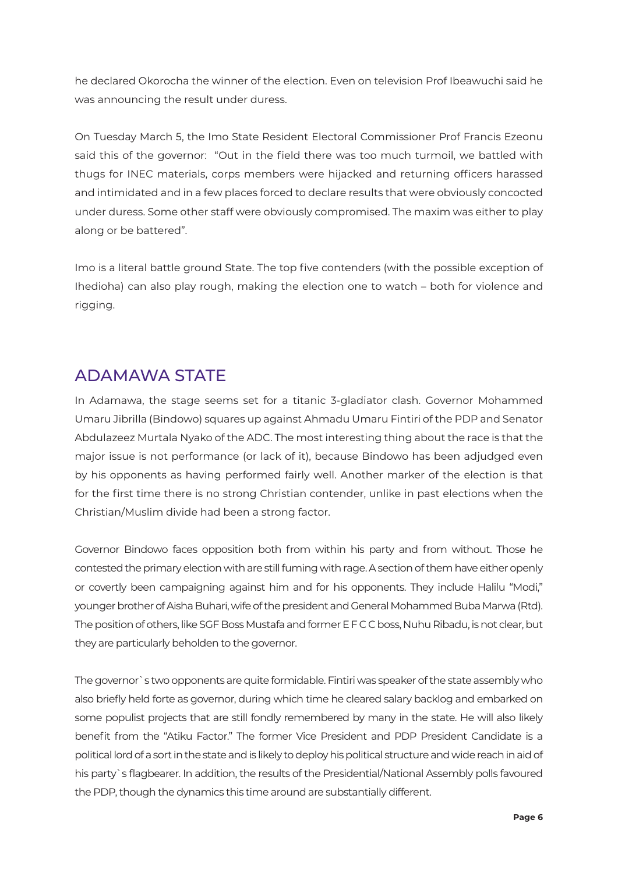he declared Okorocha the winner of the election. Even on television Prof Ibeawuchi said he was announcing the result under duress.

On Tuesday March 5, the Imo State Resident Electoral Commissioner Prof Francis Ezeonu said this of the governor: "Out in the field there was too much turmoil, we battled with thugs for INEC materials, corps members were hijacked and returning officers harassed and intimidated and in a few places forced to declare results that were obviously concocted under duress. Some other staff were obviously compromised. The maxim was either to play along or be battered".

Imo is a literal battle ground State. The top five contenders (with the possible exception of Ihedioha) can also play rough, making the election one to watch – both for violence and rigging.

### ADAMAWA STATE

In Adamawa, the stage seems set for a titanic 3-gladiator clash. Governor Mohammed Umaru Jibrilla (Bindowo) squares up against Ahmadu Umaru Fintiri of the PDP and Senator Abdulazeez Murtala Nyako of the ADC. The most interesting thing about the race is that the major issue is not performance (or lack of it), because Bindowo has been adjudged even by his opponents as having performed fairly well. Another marker of the election is that for the first time there is no strong Christian contender, unlike in past elections when the Christian/Muslim divide had been a strong factor.

Governor Bindowo faces opposition both from within his party and from without. Those he contested the primary election with are still fuming with rage. A section of them have either openly or covertly been campaigning against him and for his opponents. They include Halilu "Modi," younger brother of Aisha Buhari, wife of the president and General Mohammed Buba Marwa (Rtd). The position of others, like SGF Boss Mustafa and former E F C C boss, Nuhu Ribadu, is not clear, but they are particularly beholden to the governor.

The governor`s two opponents are quite formidable. Fintiri was speaker of the state assembly who also briefly held forte as governor, during which time he cleared salary backlog and embarked on some populist projects that are still fondly remembered by many in the state. He will also likely benefit from the "Atiku Factor." The former Vice President and PDP President Candidate is a political lord of a sort in the state and is likely to deploy his political structure and wide reach in aid of his party`s flagbearer. In addition, the results of the Presidential/National Assembly polls favoured the PDP, though the dynamics this time around are substantially different.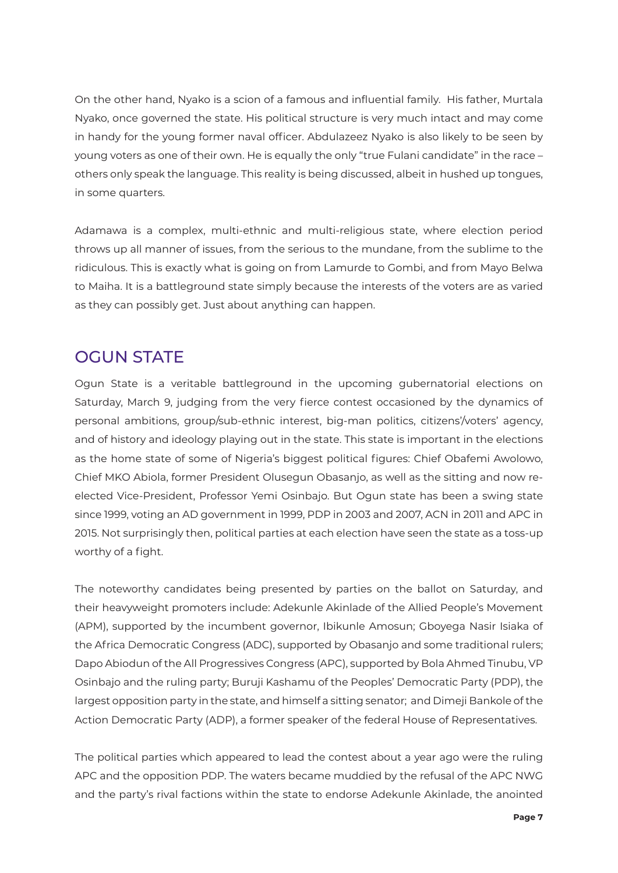On the other hand, Nyako is a scion of a famous and influential family. His father, Murtala Nyako, once governed the state. His political structure is very much intact and may come in handy for the young former naval officer. Abdulazeez Nyako is also likely to be seen by young voters as one of their own. He is equally the only "true Fulani candidate" in the race – others only speak the language. This reality is being discussed, albeit in hushed up tongues, in some quarters.

Adamawa is a complex, multi-ethnic and multi-religious state, where election period throws up all manner of issues, from the serious to the mundane, from the sublime to the ridiculous. This is exactly what is going on from Lamurde to Gombi, and from Mayo Belwa to Maiha. It is a battleground state simply because the interests of the voters are as varied as they can possibly get. Just about anything can happen.

### OGUN STATE

Ogun State is a veritable battleground in the upcoming gubernatorial elections on Saturday, March 9, judging from the very fierce contest occasioned by the dynamics of personal ambitions, group/sub-ethnic interest, big-man politics, citizens'/voters' agency, and of history and ideology playing out in the state. This state is important in the elections as the home state of some of Nigeria's biggest political figures: Chief Obafemi Awolowo, Chief MKO Abiola, former President Olusegun Obasanjo, as well as the sitting and now reelected Vice-President, Professor Yemi Osinbajo. But Ogun state has been a swing state since 1999, voting an AD government in 1999, PDP in 2003 and 2007, ACN in 2011 and APC in 2015. Not surprisingly then, political parties at each election have seen the state as a toss-up worthy of a fight.

The noteworthy candidates being presented by parties on the ballot on Saturday, and their heavyweight promoters include: Adekunle Akinlade of the Allied People's Movement (APM), supported by the incumbent governor, Ibikunle Amosun; Gboyega Nasir Isiaka of the Africa Democratic Congress (ADC), supported by Obasanjo and some traditional rulers; Dapo Abiodun of the All Progressives Congress (APC), supported by Bola Ahmed Tinubu, VP Osinbajo and the ruling party; Buruji Kashamu of the Peoples' Democratic Party (PDP), the largest opposition party in the state, and himself a sitting senator; and Dimeji Bankole of the Action Democratic Party (ADP), a former speaker of the federal House of Representatives.

The political parties which appeared to lead the contest about a year ago were the ruling APC and the opposition PDP. The waters became muddied by the refusal of the APC NWG and the party's rival factions within the state to endorse Adekunle Akinlade, the anointed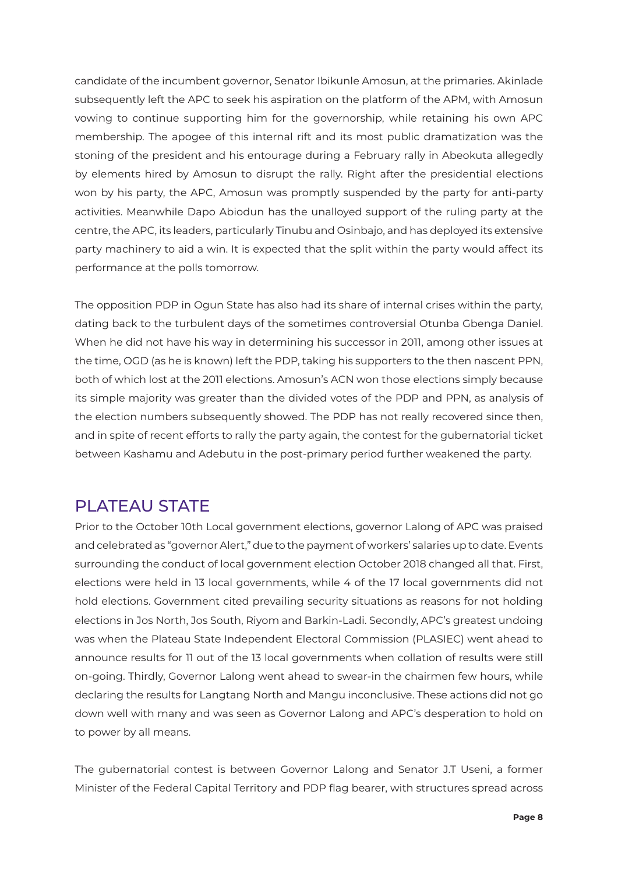candidate of the incumbent governor, Senator Ibikunle Amosun, at the primaries. Akinlade subsequently left the APC to seek his aspiration on the platform of the APM, with Amosun vowing to continue supporting him for the governorship, while retaining his own APC membership. The apogee of this internal rift and its most public dramatization was the stoning of the president and his entourage during a February rally in Abeokuta allegedly by elements hired by Amosun to disrupt the rally. Right after the presidential elections won by his party, the APC, Amosun was promptly suspended by the party for anti-party activities. Meanwhile Dapo Abiodun has the unalloyed support of the ruling party at the centre, the APC, its leaders, particularly Tinubu and Osinbajo, and has deployed its extensive party machinery to aid a win. It is expected that the split within the party would affect its performance at the polls tomorrow.

The opposition PDP in Ogun State has also had its share of internal crises within the party, dating back to the turbulent days of the sometimes controversial Otunba Gbenga Daniel. When he did not have his way in determining his successor in 2011, among other issues at the time, OGD (as he is known) left the PDP, taking his supporters to the then nascent PPN, both of which lost at the 2011 elections. Amosun's ACN won those elections simply because its simple majority was greater than the divided votes of the PDP and PPN, as analysis of the election numbers subsequently showed. The PDP has not really recovered since then, and in spite of recent efforts to rally the party again, the contest for the gubernatorial ticket between Kashamu and Adebutu in the post-primary period further weakened the party.

### PLATEAU STATE

Prior to the October 10th Local government elections, governor Lalong of APC was praised and celebrated as "governor Alert," due to the payment of workers' salaries up to date. Events surrounding the conduct of local government election October 2018 changed all that. First, elections were held in 13 local governments, while 4 of the 17 local governments did not hold elections. Government cited prevailing security situations as reasons for not holding elections in Jos North, Jos South, Riyom and Barkin-Ladi. Secondly, APC's greatest undoing was when the Plateau State Independent Electoral Commission (PLASIEC) went ahead to announce results for 11 out of the 13 local governments when collation of results were still on-going. Thirdly, Governor Lalong went ahead to swear-in the chairmen few hours, while declaring the results for Langtang North and Mangu inconclusive. These actions did not go down well with many and was seen as Governor Lalong and APC's desperation to hold on to power by all means.

The gubernatorial contest is between Governor Lalong and Senator J.T Useni, a former Minister of the Federal Capital Territory and PDP flag bearer, with structures spread across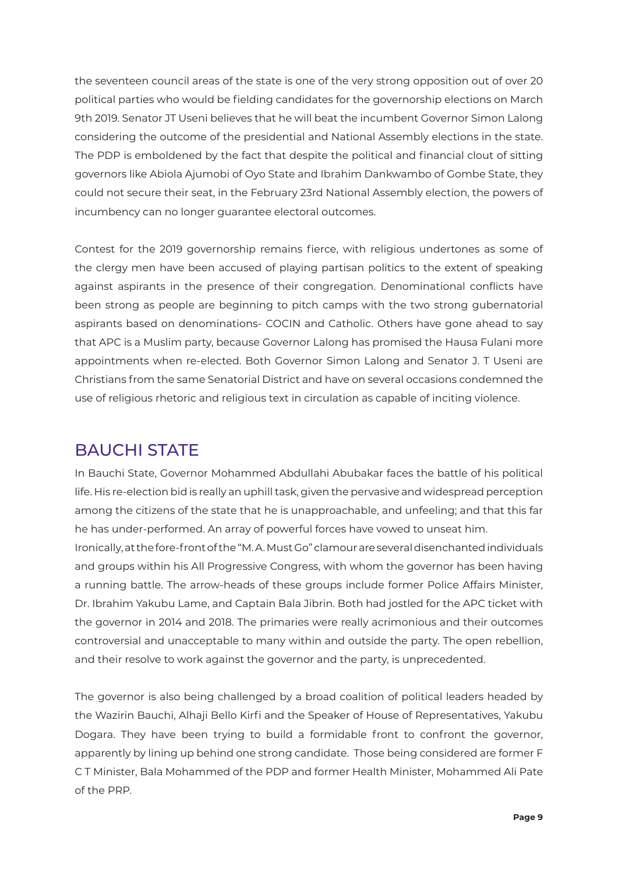the seventeen council areas of the state is one of the very strong opposition out of over 20 political parties who would be fielding candidates for the governorship elections on March 9th 2019. Senator JT Useni believes that he will beat the incumbent Governor Simon Lalong considering the outcome of the presidential and National Assembly elections in the state. The PDP is emboldened by the fact that despite the political and financial clout of sitting governors like Abiola Ajumobi of Oyo State and Ibrahim Dankwambo of Gombe State, they could not secure their seat, in the February 23rd National Assembly election, the powers of incumbency can no longer guarantee electoral outcomes.

Contest for the 2019 governorship remains fierce, with religious undertones as some of the clergy men have been accused of playing partisan politics to the extent of speaking against aspirants in the presence of their congregation. Denominational conflicts have been strong as people are beginning to pitch camps with the two strong gubernatorial aspirants based on denominations- COCIN and Catholic. Others have gone ahead to say that APC is a Muslim party, because Governor Lalong has promised the Hausa Fulani more appointments when re-elected. Both Governor Simon Lalong and Senator J. T Useni are Christians from the same Senatorial District and have on several occasions condemned the use of religious rhetoric and religious text in circulation as capable of inciting violence.

# BAUCHI STATE

In Bauchi State, Governor Mohammed Abdullahi Abubakar faces the battle of his political life. His re-election bid is really an uphill task, given the pervasive and widespread perception among the citizens of the state that he is unapproachable, and unfeeling; and that this far he has under-performed. An array of powerful forces have vowed to unseat him.

Ironically, at the fore-front of the "M. A. Must Go" clamour are several disenchanted individuals and groups within his All Progressive Congress, with whom the governor has been having a running battle. The arrow-heads of these groups include former Police Affairs Minister, Dr. Ibrahim Yakubu Lame, and Captain Bala Jibrin. Both had jostled for the APC ticket with the governor in 2014 and 2018. The primaries were really acrimonious and their outcomes controversial and unacceptable to many within and outside the party. The open rebellion, and their resolve to work against the governor and the party, is unprecedented.

The governor is also being challenged by a broad coalition of political leaders headed by the Wazirin Bauchi, Alhaji Bello Kirfi and the Speaker of House of Representatives, Yakubu Dogara. They have been trying to build a formidable front to confront the governor, apparently by lining up behind one strong candidate. Those being considered are former F C T Minister, Bala Mohammed of the PDP and former Health Minister, Mohammed Ali Pate of the PRP.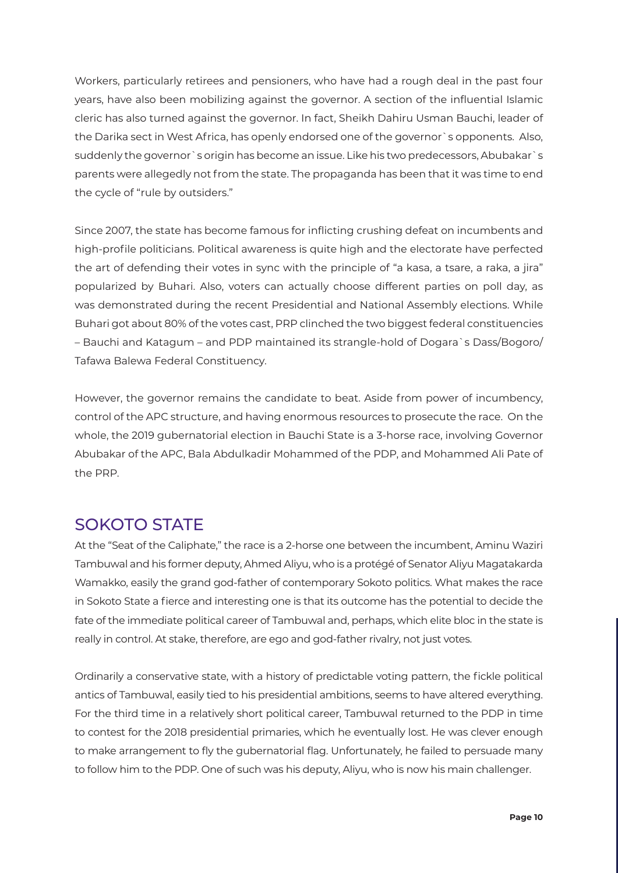Workers, particularly retirees and pensioners, who have had a rough deal in the past four years, have also been mobilizing against the governor. A section of the influential Islamic cleric has also turned against the governor. In fact, Sheikh Dahiru Usman Bauchi, leader of the Darika sect in West Africa, has openly endorsed one of the governor`s opponents. Also, suddenly the governor`s origin has become an issue. Like his two predecessors, Abubakar`s parents were allegedly not from the state. The propaganda has been that it was time to end the cycle of "rule by outsiders."

Since 2007, the state has become famous for inflicting crushing defeat on incumbents and high-profile politicians. Political awareness is quite high and the electorate have perfected the art of defending their votes in sync with the principle of "a kasa, a tsare, a raka, a jira" popularized by Buhari. Also, voters can actually choose different parties on poll day, as was demonstrated during the recent Presidential and National Assembly elections. While Buhari got about 80% of the votes cast, PRP clinched the two biggest federal constituencies – Bauchi and Katagum – and PDP maintained its strangle-hold of Dogara`s Dass/Bogoro/ Tafawa Balewa Federal Constituency.

However, the governor remains the candidate to beat. Aside from power of incumbency, control of the APC structure, and having enormous resources to prosecute the race. On the whole, the 2019 gubernatorial election in Bauchi State is a 3-horse race, involving Governor Abubakar of the APC, Bala Abdulkadir Mohammed of the PDP, and Mohammed Ali Pate of the PRP.

### SOKOTO STATE

At the "Seat of the Caliphate," the race is a 2-horse one between the incumbent, Aminu Waziri Tambuwal and his former deputy, Ahmed Aliyu, who is a protégé of Senator Aliyu Magatakarda Wamakko, easily the grand god-father of contemporary Sokoto politics. What makes the race in Sokoto State a fierce and interesting one is that its outcome has the potential to decide the fate of the immediate political career of Tambuwal and, perhaps, which elite bloc in the state is really in control. At stake, therefore, are ego and god-father rivalry, not just votes.

Ordinarily a conservative state, with a history of predictable voting pattern, the fickle political antics of Tambuwal, easily tied to his presidential ambitions, seems to have altered everything. For the third time in a relatively short political career, Tambuwal returned to the PDP in time to contest for the 2018 presidential primaries, which he eventually lost. He was clever enough to make arrangement to fly the gubernatorial flag. Unfortunately, he failed to persuade many to follow him to the PDP. One of such was his deputy, Aliyu, who is now his main challenger.